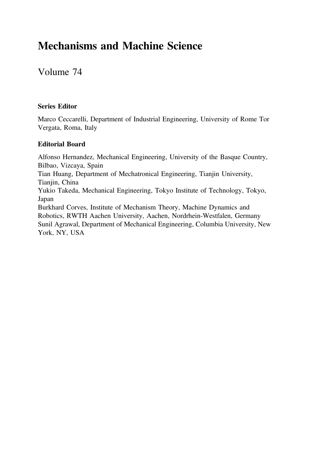# Mechanisms and Machine Science

Volume 74

#### Series Editor

Marco Ceccarelli, Department of Industrial Engineering, University of Rome Tor Vergata, Roma, Italy

#### Editorial Board

Alfonso Hernandez, Mechanical Engineering, University of the Basque Country, Bilbao, Vizcaya, Spain Tian Huang, Department of Mechatronical Engineering, Tianjin University, Tianjin, China Yukio Takeda, Mechanical Engineering, Tokyo Institute of Technology, Tokyo, Japan Burkhard Corves, Institute of Mechanism Theory, Machine Dynamics and Robotics, RWTH Aachen University, Aachen, Nordrhein-Westfalen, Germany Sunil Agrawal, Department of Mechanical Engineering, Columbia University, New York, NY, USA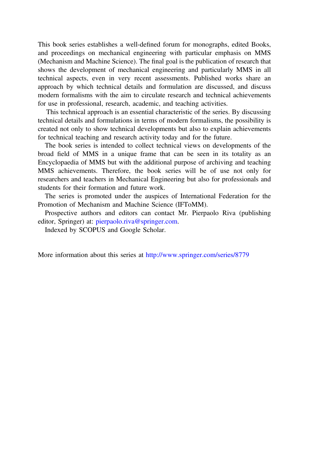This book series establishes a well-defined forum for monographs, edited Books, and proceedings on mechanical engineering with particular emphasis on MMS (Mechanism and Machine Science). The final goal is the publication of research that shows the development of mechanical engineering and particularly MMS in all technical aspects, even in very recent assessments. Published works share an approach by which technical details and formulation are discussed, and discuss modern formalisms with the aim to circulate research and technical achievements for use in professional, research, academic, and teaching activities.

This technical approach is an essential characteristic of the series. By discussing technical details and formulations in terms of modern formalisms, the possibility is created not only to show technical developments but also to explain achievements for technical teaching and research activity today and for the future.

The book series is intended to collect technical views on developments of the broad field of MMS in a unique frame that can be seen in its totality as an Encyclopaedia of MMS but with the additional purpose of archiving and teaching MMS achievements. Therefore, the book series will be of use not only for researchers and teachers in Mechanical Engineering but also for professionals and students for their formation and future work.

The series is promoted under the auspices of International Federation for the Promotion of Mechanism and Machine Science (IFToMM).

Prospective authors and editors can contact Mr. Pierpaolo Riva (publishing editor, Springer) at: pierpaolo.riva@springer.com.

Indexed by SCOPUS and Google Scholar.

More information about this series at http://www.springer.com/series/8779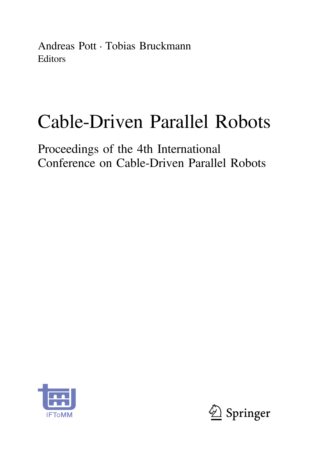Andreas Pott • Tobias Bruckmann **Editors** 

# Cable-Driven Parallel Robots

Proceedings of the 4th International Conference on Cable-Driven Parallel Robots



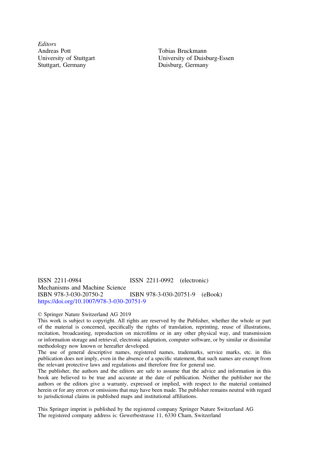**Editors** Andreas Pott University of Stuttgart Stuttgart, Germany

Tobias Bruckmann University of Duisburg-Essen Duisburg, Germany

ISSN 2211-0984 ISSN 2211-0992 (electronic) Mechanisms and Machine Science<br>ISBN 978-3-030-20750-2 ISBN 978-3-030-20751-9 (eBook) <https://doi.org/10.1007/978-3-030-20751-9>

#### © Springer Nature Switzerland AG 2019

This work is subject to copyright. All rights are reserved by the Publisher, whether the whole or part of the material is concerned, specifically the rights of translation, reprinting, reuse of illustrations, recitation, broadcasting, reproduction on microfilms or in any other physical way, and transmission or information storage and retrieval, electronic adaptation, computer software, or by similar or dissimilar methodology now known or hereafter developed.

The use of general descriptive names, registered names, trademarks, service marks, etc. in this publication does not imply, even in the absence of a specific statement, that such names are exempt from the relevant protective laws and regulations and therefore free for general use.

The publisher, the authors and the editors are safe to assume that the advice and information in this book are believed to be true and accurate at the date of publication. Neither the publisher nor the authors or the editors give a warranty, expressed or implied, with respect to the material contained herein or for any errors or omissions that may have been made. The publisher remains neutral with regard to jurisdictional claims in published maps and institutional affiliations.

This Springer imprint is published by the registered company Springer Nature Switzerland AG The registered company address is: Gewerbestrasse 11, 6330 Cham, Switzerland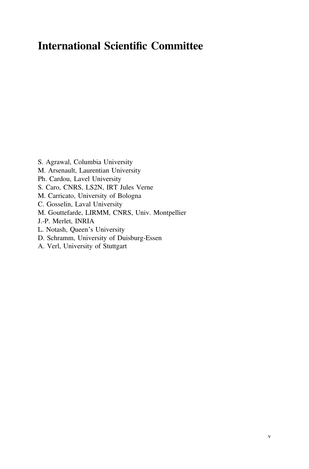# International Scientific Committee

- S. Agrawal, Columbia University
- M. Arsenault, Laurentian University
- Ph. Cardou, Lavel University
- S. Caro, CNRS, LS2N, IRT Jules Verne
- M. Carricato, University of Bologna
- C. Gosselin, Laval University
- M. Gouttefarde, LIRMM, CNRS, Univ. Montpellier
- J.-P. Merlet, INRIA
- L. Notash, Queen's University
- D. Schramm, University of Duisburg-Essen
- A. Verl, University of Stuttgart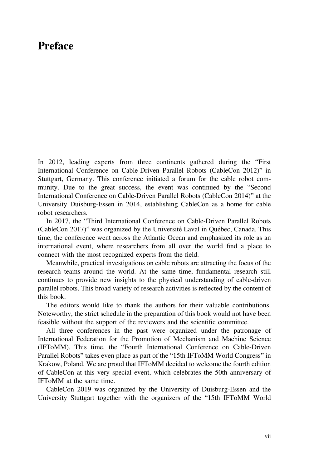## Preface

In 2012, leading experts from three continents gathered during the "First International Conference on Cable-Driven Parallel Robots (CableCon 2012)" in Stuttgart, Germany. This conference initiated a forum for the cable robot community. Due to the great success, the event was continued by the "Second International Conference on Cable-Driven Parallel Robots (CableCon 2014)" at the University Duisburg-Essen in 2014, establishing CableCon as a home for cable robot researchers.

In 2017, the "Third International Conference on Cable-Driven Parallel Robots (CableCon 2017)" was organized by the Université Laval in Québec, Canada. This time, the conference went across the Atlantic Ocean and emphasized its role as an international event, where researchers from all over the world find a place to connect with the most recognized experts from the field.

Meanwhile, practical investigations on cable robots are attracting the focus of the research teams around the world. At the same time, fundamental research still continues to provide new insights to the physical understanding of cable-driven parallel robots. This broad variety of research activities is reflected by the content of this book.

The editors would like to thank the authors for their valuable contributions. Noteworthy, the strict schedule in the preparation of this book would not have been feasible without the support of the reviewers and the scientific committee.

All three conferences in the past were organized under the patronage of International Federation for the Promotion of Mechanism and Machine Science (IFToMM). This time, the "Fourth International Conference on Cable-Driven Parallel Robots" takes even place as part of the "15th IFToMM World Congress" in Krakow, Poland. We are proud that IFToMM decided to welcome the fourth edition of CableCon at this very special event, which celebrates the 50th anniversary of IFToMM at the same time.

CableCon 2019 was organized by the University of Duisburg-Essen and the University Stuttgart together with the organizers of the "15th IFToMM World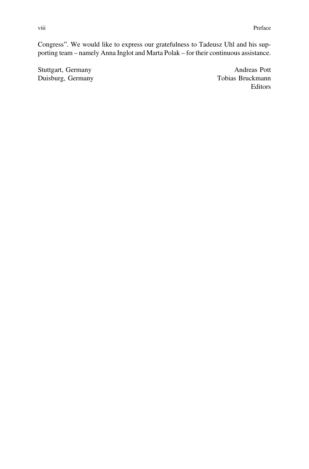Congress". We would like to express our gratefulness to Tadeusz Uhl and his supporting team – namely Anna Inglot and Marta Polak – for their continuous assistance.

Stuttgart, Germany Andreas Pott<br>
Duisburg, Germany Andreas Pott<br>
Tobias Bruckmann Duisburg, Germany

Editors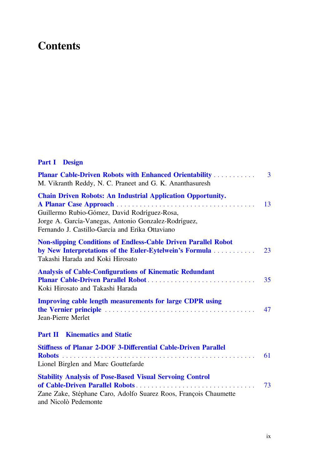# **Contents**

## **Part I** Design

| <b>Planar Cable-Driven Robots with Enhanced Orientability </b><br>M. Vikranth Reddy, N. C. Praneet and G. K. Ananthasuresh                                                                                                    | 3  |
|-------------------------------------------------------------------------------------------------------------------------------------------------------------------------------------------------------------------------------|----|
| <b>Chain Driven Robots: An Industrial Application Opportunity.</b><br>Guillermo Rubio-Gómez, David Rodríguez-Rosa,<br>Jorge A. García-Vanegas, Antonio Gonzalez-Rodríguez,<br>Fernando J. Castillo-García and Erika Ottaviano | 13 |
| <b>Non-slipping Conditions of Endless-Cable Driven Parallel Robot</b><br>by New Interpretations of the Euler-Eytelwein's Formula<br>Takashi Harada and Koki Hirosato                                                          | 23 |
| <b>Analysis of Cable-Configurations of Kinematic Redundant</b><br>Planar Cable-Driven Parallel Robot<br>Koki Hirosato and Takashi Harada                                                                                      | 35 |
| <b>Improving cable length measurements for large CDPR using</b><br>Jean-Pierre Merlet                                                                                                                                         | 47 |
| <b>Part II Kinematics and Static</b>                                                                                                                                                                                          |    |
| <b>Stiffness of Planar 2-DOF 3-Differential Cable-Driven Parallel</b><br>Lionel Birglen and Marc Gouttefarde                                                                                                                  | 61 |
| <b>Stability Analysis of Pose-Based Visual Servoing Control</b><br>Zane Zake, Stéphane Caro, Adolfo Suarez Roos, François Chaumette<br>and Nicolò Pedemonte                                                                   | 73 |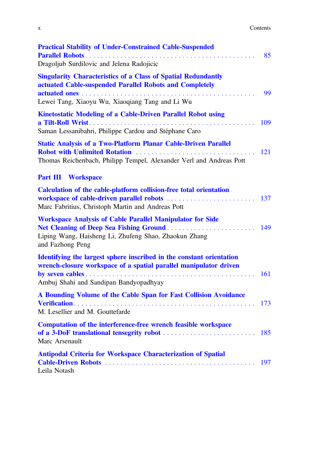| v.<br>л | Contents<br>. |
|---------|---------------|
|         |               |

| <b>Practical Stability of Under-Constrained Cable-Suspended</b><br>Dragoljub Surdilovic and Jelena Radojicic                                                                        | 85  |
|-------------------------------------------------------------------------------------------------------------------------------------------------------------------------------------|-----|
| <b>Singularity Characteristics of a Class of Spatial Redundantly</b><br>actuated Cable-suspended Parallel Robots and Completely<br>Lewei Tang, Xiaoyu Wu, Xiaoqiang Tang and Li Wu  | 99  |
| <b>Kinetostatic Modeling of a Cable-Driven Parallel Robot using</b><br>Saman Lessanibahri, Philippe Cardou and Stéphane Caro                                                        | 109 |
| <b>Static Analysis of a Two-Platform Planar Cable-Driven Parallel</b><br>Thomas Reichenbach, Philipp Tempel, Alexander Verl and Andreas Pott                                        | 121 |
| <b>Part III</b><br><b>Workspace</b>                                                                                                                                                 |     |
| Calculation of the cable-platform collision-free total orientation<br>Marc Fabritius, Christoph Martin and Andreas Pott                                                             | 137 |
| <b>Workspace Analysis of Cable Parallel Manipulator for Side</b><br>Liping Wang, Haisheng Li, Zhufeng Shao, Zhaokun Zhang<br>and Fazhong Peng                                       | 149 |
| Identifying the largest sphere inscribed in the constant orientation<br>wrench-closure workspace of a spatial parallel manipulator driven<br>Ambuj Shahi and Sandipan Bandyopadhyay | 161 |
| A Bounding Volume of the Cable Span for Fast Collision Avoidance<br>Verification<br>M. Lesellier and M. Gouttefarde                                                                 | 173 |
| Computation of the interference-free wrench feasible workspace<br>Marc Arsenault                                                                                                    |     |
| <b>Antipodal Criteria for Workspace Characterization of Spatial</b><br>Leila Notash                                                                                                 | 197 |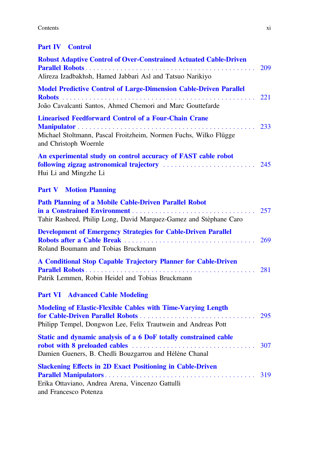#### Contents

## **Part IV** Control

| <b>Robust Adaptive Control of Over-Constrained Actuated Cable-Driven</b>                                                                                                 | 209 |
|--------------------------------------------------------------------------------------------------------------------------------------------------------------------------|-----|
| Alireza Izadbakhsh, Hamed Jabbari Asl and Tatsuo Narikiyo                                                                                                                |     |
| <b>Model Predictive Control of Large-Dimension Cable-Driven Parallel</b>                                                                                                 | 221 |
| João Cavalcanti Santos, Ahmed Chemori and Marc Gouttefarde                                                                                                               |     |
| <b>Linearised Feedforward Control of a Four-Chain Crane</b><br>Michael Stoltmann, Pascal Froitzheim, Normen Fuchs, Wilko Flügge<br>and Christoph Woernle                 | 233 |
| An experimental study on control accuracy of FAST cable robot<br>Hui Li and Mingzhe Li                                                                                   | 245 |
| <b>Part V</b> Motion Planning                                                                                                                                            |     |
| <b>Path Planning of a Mobile Cable-Driven Parallel Robot</b><br>Tahir Rasheed, Philip Long, David Marquez-Gamez and Stèphane Caro                                        | 257 |
| <b>Development of Emergency Strategies for Cable-Driven Parallel</b><br>Roland Boumann and Tobias Bruckmann                                                              | 269 |
| A Conditional Stop Capable Trajectory Planner for Cable-Driven<br>Patrik Lemmen, Robin Heidel and Tobias Bruckmann                                                       | 281 |
| <b>Part VI Advanced Cable Modeling</b>                                                                                                                                   |     |
| <b>Modeling of Elastic-Flexible Cables with Time-Varying Length</b><br>for Cable-Driven Parallel Robots<br>Philipp Tempel, Dongwon Lee, Felix Trautwein and Andreas Pott | 295 |
| Static and dynamic analysis of a 6 DoF totally constrained cable<br>Damien Gueners, B. Chedli Bouzgarrou and Hélène Chanal                                               | 307 |
| <b>Slackening Effects in 2D Exact Positioning in Cable-Driven</b><br>Erika Ottaviano, Andrea Arena, Vincenzo Gattulli<br>and Francesco Potenza                           | 319 |